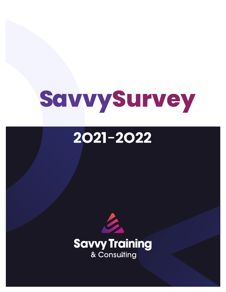# **SavvySurvey**

## **2O21**-**2O22**

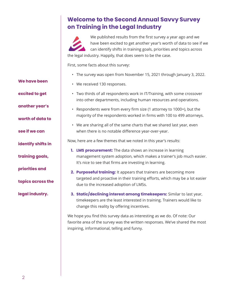### **Welcome to the Second Annual Savvy Survey on Training in the Legal Industry**

We published results from the first survey a year ago and we have been excited to get another year's worth of data to see if we can identify shifts in training goals, priorities and topics across the legal industry. Happily, that does seem to be the case.

First, some facts about this survey:

• The survey was open from November 15, 2021 through January 3, 2022.

**We have been**

**excited to get**

**another year's**

**worth of data to**

**see if we can**

**identify shifts in**

**training goals,**

**priorities and**

**topics across the**

**legal industry.**

- We received 130 responses.
- Two thirds of all respondents work in IT/Training, with some crossover into other departments, including human resources and operations.
- Respondents were from every firm size (1 attorney to 1000+), but the majority of the respondents worked in firms with 100 to 499 attorneys.
- We are sharing all of the same charts that we shared last year, even when there is no notable difference year-over-year.

Now, here are a few themes that we noted in this year's results:

- **1. LMS procurement:** The data shows an increase in learning management system adoption, which makes a trainer's job much easier. It's nice to see that firms are investing in learning.
- **2. Purposeful training:** It appears that trainers are becoming more targeted and proactive in their training efforts, which may be a lot easier due to the increased adoption of LMSs.
- **3. Static/declining interest among timekeepers:** Similar to last year, timekeepers are the least interested in training. Trainers would like to change this reality by offering incentives.

We hope you find this survey data as interesting as we do. Of note: Our favorite area of the survey was the written responses. We've shared the most inspiring, informational, telling and funny.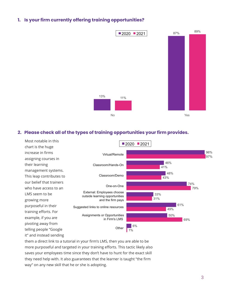#### **1. Is your firm currently offering training opportunities?**



#### **2. Please check all of the types of training opportunities your firm provides.**



them a direct link to a tutorial in your firm's LMS, then you are able to be more purposeful and targeted in your training efforts. This tactic likely also saves your employees time since they don't have to hunt for the exact skill they need help with. It also guarantees that the learner is taught "the firm way" on any new skill that he or she is adopting.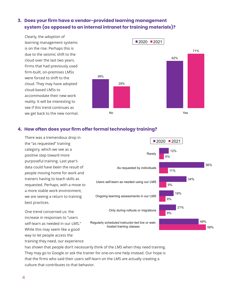#### **3. Does your firm have a vendor-provided learning management system (as opposed to an internal intranet for training materials)?**

Clearly, the adoption of learning management systems is on the rise. Perhaps this is due to the seismic shift to the cloud over the last two years. Firms that had previously used firm-built, on-premises LMSs were forced to shift to the cloud. They may have adopted cloud-based LMSs to accommodate their new work reality. It will be interesting to see if this trend continues as we get back to the new normal.



#### **4. How often does your firm offer formal technology training?**

There was a tremendous drop in the "as requested" training category, which we see as a positive step toward more purposeful training. Last year's data could have been the result of people moving home for work and trainers having to teach skills as requested. Perhaps, with a move to a more stable work environment, we are seeing a return to training best practices.

One trend concerned us: the increase in responses to "users self-learn as needed in our LMS." While this may seem like a good way to let people access the training they need, our experience



has shown that people don't necessarily think of the LMS when they need training. They may go to Google or ask the trainer for one-on-one help instead. Our hope is that the firms who said their users self-learn on the LMS are actually creating a culture that contributes to that behavior.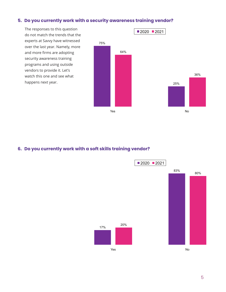#### **5. Do you currently work with a security awareness training vendor?**

do not match the trends that the experts at Savvy have witnessed over the last year. Namely, more and more firms are adopting security awareness training programs and using outside vendors to provide it. Let's watch this one and see what happens next year.



#### **6. Do you currently work with a soft skills training vendor?**

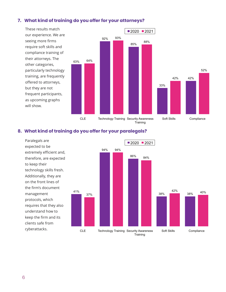#### **7. What kind of training do you offer for your attorneys?**



#### **8. What kind of training do you offer for your paralegals?**

expected to be extremely efficient and, therefore, are expected to keep their technology skills fresh. Additionally, they are on the front lines of the firm's document management protocols, which requires that they also understand how to keep the firm and its clients safe from cyberattacks.

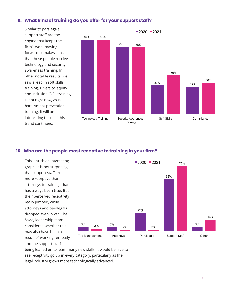#### **9. What kind of training do you offer for your support staff?**

Similar to paralegals, support staff are the engine that keeps the firm's work moving forward. It makes sense that these people receive technology and security awareness training. In other notable results, we saw a leap in soft skills training. Diversity, equity and inclusion (DEI) training is hot right now, as is harassment prevention training. It will be interesting to see if this trend continues.



#### **10. Who are the people most receptive to training in your firm?**

This is such an interesting graph. It is not surprising that support staff are more receptive than attorneys to training; that has always been true. But their perceived receptivity really jumped, while attorneys and paralegals dropped even lower. The Savvy leadership team considered whether this may also have been a result of working remotely and the support staff



being leaned on to learn many new skills. It would be nice to see receptivity go up in every category, particularly as the legal industry grows more technologically advanced.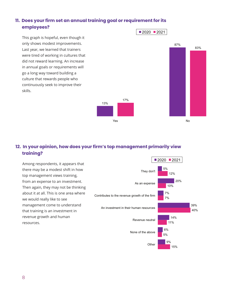#### **11. Does your firm set an annual training goal or requirement for its employees?**

This graph is hopeful, even though it only shows modest improvements. Last year, we learned that trainers were tired of working in cultures that did not reward learning. An increase in annual goals or requirements will go a long way toward building a culture that rewards people who continuously seek to improve their skills.



#### **12. In your opinion, how does your firm's top management primarily view training?**

13%

Among respondents, it appears that there may be a modest shift in how top management views training, from an expense to an investment. Then again, they may not be thinking about it at all. This is one area where we would really like to see management come to understand that training is an investment in revenue growth and human resources.

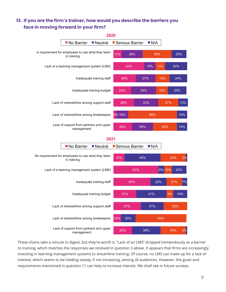#### **13. If you are the firm's trainer, how would you describe the barriers you face in moving forward in your firm?**



These charts take a minute to digest, but they're worth it. "Lack of an LMS" dropped tremendously as a barrier to training, which matches the responses we received in question 3 above. It appears that firms are increasingly investing in learning management systems to streamline training. Of course, no LMS can make up for a lack of interest, which seems to be holding steady, if not increasing, among all audiences. However, the goals and requirements mentioned in question 11 can help to increase interest. We shall see in future surveys.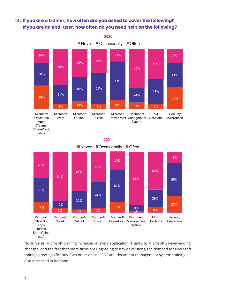#### **14. If you are a trainer, how often are you asked to cover the following? I If you are an end-user, how often do you need help on the following?**





No surprise: Microsoft training increased in every application. Thanks to Microsoft's never-ending changes, and the fact that more firms are upgrading to newer versions, the demand for Microsoft training grew significantly. Two other areas – PDF and document management system training – also increased in demand.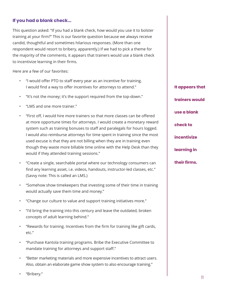#### **If you had a blank check...**

This question asked: "If you had a blank check, how would you use it to bolster training at your firm?" This is our favorite question because we always receive candid, thoughtful and sometimes hilarious responses. (More than one respondent would resort to bribery, apparently.) If we had to pick a theme for the majority of the comments, it appears that trainers would use a blank check to incentivize learning in their firms.

Here are a few of our favorites:

- "I would offer PTO to staff every year as an incentive for training. I would find a way to offer incentives for attorneys to attend."
- "It's not the money; it's the support required from the top-down."
- "I MS and one more trainer."
- "First off, I would hire more trainers so that more classes can be offered at more opportune times for attorneys. I would create a monetary reward system such as training bonuses to staff and paralegals for hours logged. I would also reimburse attorneys for time spent in training since the most used excuse is that they are not billing when they are in training even though they waste more billable time online with the Help Desk than they would if they attended training sessions."
- "Create a single, searchable portal where our technology consumers can find any learning asset, i.e. videos, handouts, instructor-led classes, etc." (Savvy note: This is called an LMS.)
- "Somehow show timekeepers that investing some of their time in training would actually save them time and money."
- "Change our culture to value and support training initiatives more."
- "I'd bring the training into this century and leave the outdated, broken concepts of adult learning behind."
- "Rewards for training. Incentives from the firm for training like gift cards, etc."
- "Purchase Kantola training programs. Bribe the Executive Committee to mandate training for attorneys and support staff."
- "Better marketing materials and more expensive incentives to attract users. Also, obtain an elaborate game show system to also encourage training."

**It appears that trainers would use a blank check to incentivize learning in their firms.**

• "Bribery."